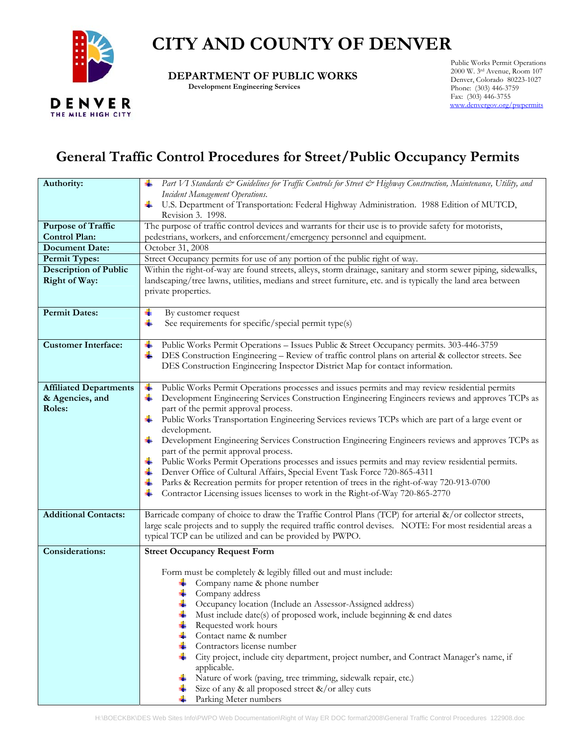

## **CITY AND COUNTY OF DENVER**

 **DEPARTMENT OF PUBLIC WORKS** 

 **Development Engineering Services** 

Public Works Permit Operations 2000 W. 3rd Avenue, Room 107 Denver, Colorado 80223-1027 Phone: (303) 446-3759 Fax: (303) 446-3755 [www.denvergov.org/pwpermits](http://www.denvergov.org/pwpermits)

## **General Traffic Control Procedures for Street/Public Occupancy Permits**

| Authority:                    | Part VI Standards & Guidelines for Traffic Controls for Street & Highway Construction, Maintenance, Utility, and<br>-∎                       |
|-------------------------------|----------------------------------------------------------------------------------------------------------------------------------------------|
|                               | Incident Management Operations.                                                                                                              |
|                               | U.S. Department of Transportation: Federal Highway Administration. 1988 Edition of MUTCD,<br>۰.                                              |
| <b>Purpose of Traffic</b>     | Revision 3. 1998.<br>The purpose of traffic control devices and warrants for their use is to provide safety for motorists,                   |
| <b>Control Plan:</b>          | pedestrians, workers, and enforcement/emergency personnel and equipment.                                                                     |
| <b>Document Date:</b>         | October 31, 2008                                                                                                                             |
| <b>Permit Types:</b>          | Street Occupancy permits for use of any portion of the public right of way.                                                                  |
| <b>Description of Public</b>  | Within the right-of-way are found streets, alleys, storm drainage, sanitary and storm sewer piping, sidewalks,                               |
| <b>Right of Way:</b>          | landscaping/tree lawns, utilities, medians and street furniture, etc. and is typically the land area between                                 |
|                               | private properties.                                                                                                                          |
|                               |                                                                                                                                              |
| <b>Permit Dates:</b>          | ۰<br>By customer request                                                                                                                     |
|                               | 4<br>See requirements for specific/special permit type(s)                                                                                    |
| <b>Customer Interface:</b>    | Public Works Permit Operations - Issues Public & Street Occupancy permits. 303-446-3759                                                      |
|                               | -∎<br>DES Construction Engineering - Review of traffic control plans on arterial & collector streets. See<br>۳.                              |
|                               | DES Construction Engineering Inspector District Map for contact information.                                                                 |
|                               |                                                                                                                                              |
| <b>Affiliated Departments</b> | Public Works Permit Operations processes and issues permits and may review residential permits<br>4                                          |
| & Agencies, and               | Development Engineering Services Construction Engineering Engineers reviews and approves TCPs as<br>4                                        |
| Roles:                        | part of the permit approval process.                                                                                                         |
|                               | Public Works Transportation Engineering Services reviews TCPs which are part of a large event or<br>÷                                        |
|                               | development.                                                                                                                                 |
|                               | Development Engineering Services Construction Engineering Engineers reviews and approves TCPs as<br>۰.                                       |
|                               | part of the permit approval process.<br>÷<br>Public Works Permit Operations processes and issues permits and may review residential permits. |
|                               | Denver Office of Cultural Affairs, Special Event Task Force 720-865-4311<br>₩.                                                               |
|                               | Parks & Recreation permits for proper retention of trees in the right-of-way 720-913-0700<br>÷                                               |
|                               | Contractor Licensing issues licenses to work in the Right-of-Way 720-865-2770<br>┹                                                           |
|                               |                                                                                                                                              |
| <b>Additional Contacts:</b>   | Barricade company of choice to draw the Traffic Control Plans (TCP) for arterial &/or collector streets,                                     |
|                               | large scale projects and to supply the required traffic control devises. NOTE: For most residential areas a                                  |
|                               | typical TCP can be utilized and can be provided by PWPO.                                                                                     |
| <b>Considerations:</b>        | <b>Street Occupancy Request Form</b>                                                                                                         |
|                               |                                                                                                                                              |
|                               | Form must be completely & legibly filled out and must include:<br>Company name & phone number                                                |
|                               | ۰.<br>Company address                                                                                                                        |
|                               | Occupancy location (Include an Assessor-Assigned address)                                                                                    |
|                               | Must include date(s) of proposed work, include beginning & end dates                                                                         |
|                               | ÷<br>Requested work hours                                                                                                                    |
|                               | Contact name & number<br>÷                                                                                                                   |
|                               | Contractors license number                                                                                                                   |
|                               | City project, include city department, project number, and Contract Manager's name, if                                                       |
|                               | applicable.<br>Nature of work (paving, tree trimming, sidewalk repair, etc.)<br>4                                                            |
|                               | Size of any & all proposed street $\&$ /or alley cuts<br>÷                                                                                   |
|                               | Parking Meter numbers<br>÷                                                                                                                   |
|                               |                                                                                                                                              |